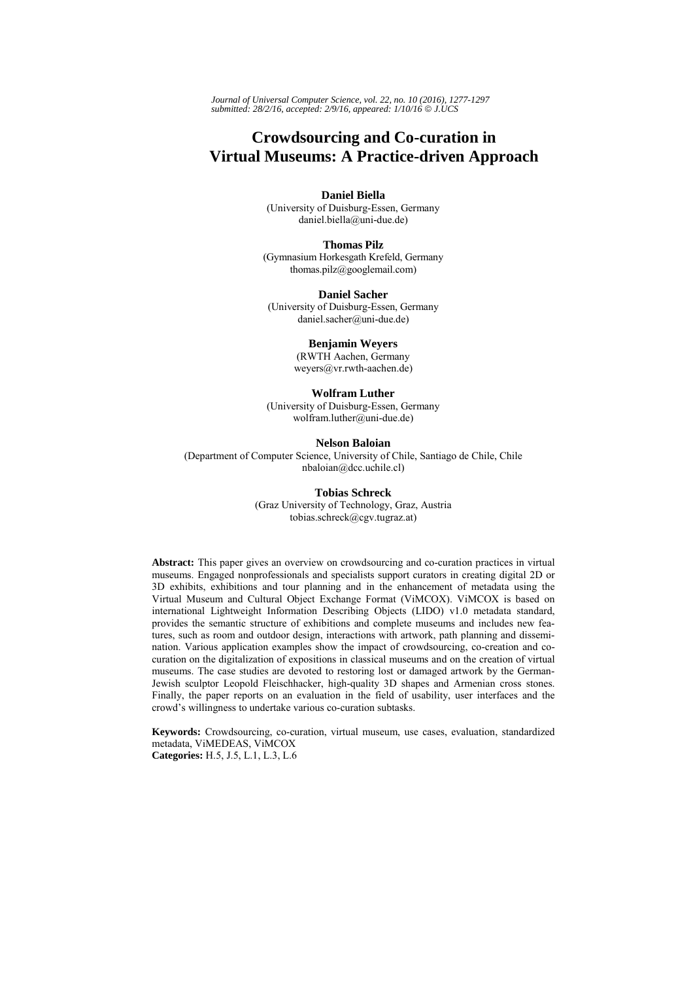*Journal of Universal Computer Science, vol. 22, no. 10 (2016), 1277-1297 submitted: 28/2/16, accepted: 2/9/16, appeared: 1/10/16* © *J.UCS*

# **Crowdsourcing and Co-curation in Virtual Museums: A Practice-driven Approach**

#### **Daniel Biella**

(University of Duisburg-Essen, Germany daniel.biella@uni-due.de)

**Thomas Pilz**  (Gymnasium Horkesgath Krefeld, Germany thomas.pilz@googlemail.com)

**Daniel Sacher**  (University of Duisburg-Essen, Germany daniel.sacher@uni-due.de)

### **Benjamin Weyers**

(RWTH Aachen, Germany weyers@vr.rwth-aachen.de)

#### **Wolfram Luther**

(University of Duisburg-Essen, Germany wolfram.luther@uni-due.de)

#### **Nelson Baloian**

(Department of Computer Science, University of Chile, Santiago de Chile, Chile nbaloian@dcc.uchile.cl)

#### **Tobias Schreck**

(Graz University of Technology, Graz, Austria tobias.schreck@cgv.tugraz.at)

**Abstract:** This paper gives an overview on crowdsourcing and co-curation practices in virtual museums. Engaged nonprofessionals and specialists support curators in creating digital 2D or 3D exhibits, exhibitions and tour planning and in the enhancement of metadata using the Virtual Museum and Cultural Object Exchange Format (ViMCOX). ViMCOX is based on international Lightweight Information Describing Objects (LIDO) v1.0 metadata standard, provides the semantic structure of exhibitions and complete museums and includes new features, such as room and outdoor design, interactions with artwork, path planning and dissemination. Various application examples show the impact of crowdsourcing, co-creation and cocuration on the digitalization of expositions in classical museums and on the creation of virtual museums. The case studies are devoted to restoring lost or damaged artwork by the German-Jewish sculptor Leopold Fleischhacker, high-quality 3D shapes and Armenian cross stones. Finally, the paper reports on an evaluation in the field of usability, user interfaces and the crowd's willingness to undertake various co-curation subtasks.

**Keywords:** Crowdsourcing, co-curation, virtual museum, use cases, evaluation, standardized metadata, ViMEDEAS, ViMCOX

**Categories:** H.5, J.5, L.1, L.3, L.6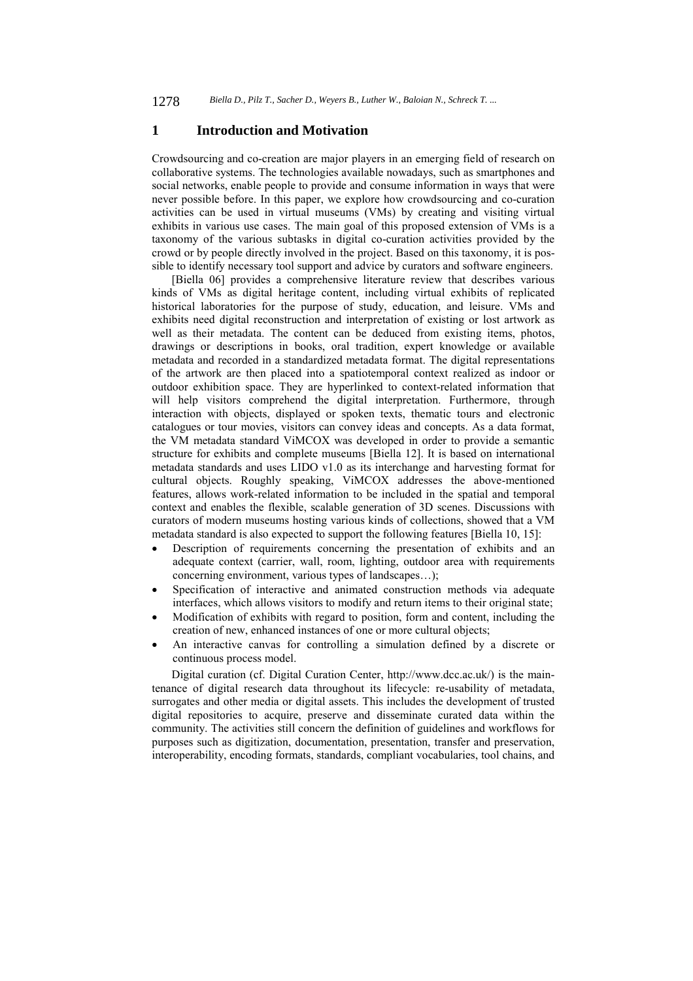### **1 Introduction and Motivation**

Crowdsourcing and co-creation are major players in an emerging field of research on collaborative systems. The technologies available nowadays, such as smartphones and social networks, enable people to provide and consume information in ways that were never possible before. In this paper, we explore how crowdsourcing and co-curation activities can be used in virtual museums (VMs) by creating and visiting virtual exhibits in various use cases. The main goal of this proposed extension of VMs is a taxonomy of the various subtasks in digital co-curation activities provided by the crowd or by people directly involved in the project. Based on this taxonomy, it is possible to identify necessary tool support and advice by curators and software engineers.

[Biella 06] provides a comprehensive literature review that describes various kinds of VMs as digital heritage content, including virtual exhibits of replicated historical laboratories for the purpose of study, education, and leisure. VMs and exhibits need digital reconstruction and interpretation of existing or lost artwork as well as their metadata. The content can be deduced from existing items, photos, drawings or descriptions in books, oral tradition, expert knowledge or available metadata and recorded in a standardized metadata format. The digital representations of the artwork are then placed into a spatiotemporal context realized as indoor or outdoor exhibition space. They are hyperlinked to context-related information that will help visitors comprehend the digital interpretation. Furthermore, through interaction with objects, displayed or spoken texts, thematic tours and electronic catalogues or tour movies, visitors can convey ideas and concepts. As a data format, the VM metadata standard ViMCOX was developed in order to provide a semantic structure for exhibits and complete museums [Biella 12]. It is based on international metadata standards and uses LIDO v1.0 as its interchange and harvesting format for cultural objects. Roughly speaking, ViMCOX addresses the above-mentioned features, allows work-related information to be included in the spatial and temporal context and enables the flexible, scalable generation of 3D scenes. Discussions with curators of modern museums hosting various kinds of collections, showed that a VM metadata standard is also expected to support the following features [Biella 10, 15]:

- Description of requirements concerning the presentation of exhibits and an adequate context (carrier, wall, room, lighting, outdoor area with requirements concerning environment, various types of landscapes…);
- Specification of interactive and animated construction methods via adequate interfaces, which allows visitors to modify and return items to their original state;
- Modification of exhibits with regard to position, form and content, including the creation of new, enhanced instances of one or more cultural objects;
- An interactive canvas for controlling a simulation defined by a discrete or continuous process model.

Digital curation (cf. Digital Curation Center, http://www.dcc.ac.uk/) is the maintenance of digital research data throughout its lifecycle: re-usability of metadata, surrogates and other media or digital assets. This includes the development of trusted digital repositories to acquire, preserve and disseminate curated data within the community. The activities still concern the definition of guidelines and workflows for purposes such as digitization, documentation, presentation, transfer and preservation, interoperability, encoding formats, standards, compliant vocabularies, tool chains, and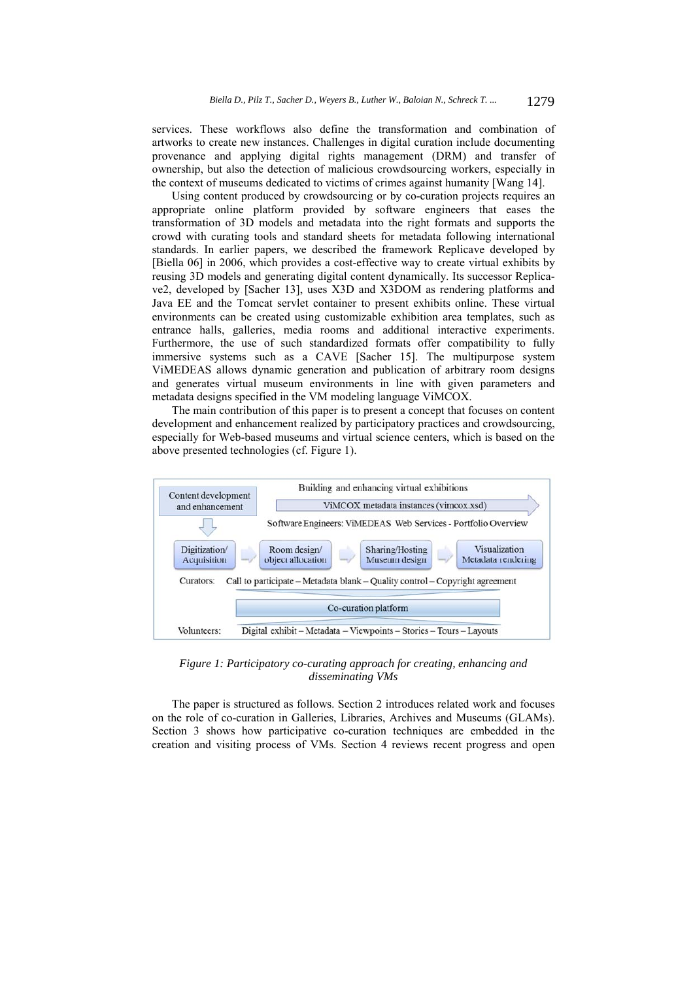services. These workflows also define the transformation and combination of artworks to create new instances. Challenges in digital curation include documenting provenance and applying digital rights management (DRM) and transfer of ownership, but also the detection of malicious crowdsourcing workers, especially in the context of museums dedicated to victims of crimes against humanity [Wang 14].

Using content produced by crowdsourcing or by co-curation projects requires an appropriate online platform provided by software engineers that eases the transformation of 3D models and metadata into the right formats and supports the crowd with curating tools and standard sheets for metadata following international standards. In earlier papers, we described the framework Replicave developed by [Biella 06] in 2006, which provides a cost-effective way to create virtual exhibits by reusing 3D models and generating digital content dynamically. Its successor Replicave2, developed by [Sacher 13], uses X3D and X3DOM as rendering platforms and Java EE and the Tomcat servlet container to present exhibits online. These virtual environments can be created using customizable exhibition area templates, such as entrance halls, galleries, media rooms and additional interactive experiments. Furthermore, the use of such standardized formats offer compatibility to fully immersive systems such as a CAVE [Sacher 15]. The multipurpose system ViMEDEAS allows dynamic generation and publication of arbitrary room designs and generates virtual museum environments in line with given parameters and metadata designs specified in the VM modeling language ViMCOX.

The main contribution of this paper is to present a concept that focuses on content development and enhancement realized by participatory practices and crowdsourcing, especially for Web-based museums and virtual science centers, which is based on the above presented technologies (cf. Figure 1).



*Figure 1: Participatory co-curating approach for creating, enhancing and disseminating VMs* 

The paper is structured as follows. Section 2 introduces related work and focuses on the role of co-curation in Galleries, Libraries, Archives and Museums (GLAMs). Section 3 shows how participative co-curation techniques are embedded in the creation and visiting process of VMs. Section 4 reviews recent progress and open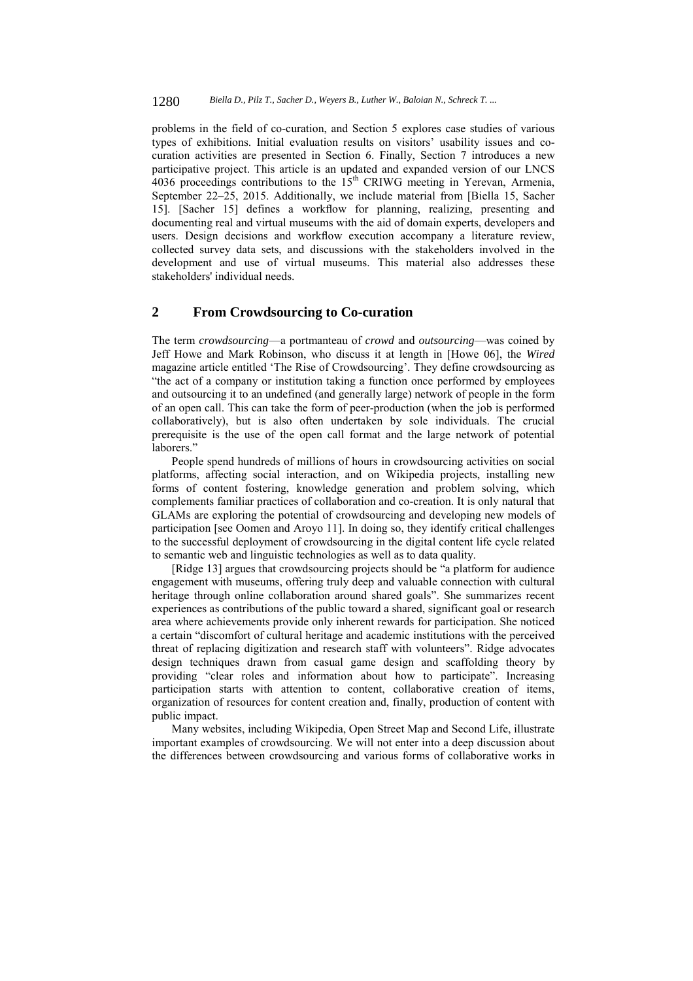problems in the field of co-curation, and Section 5 explores case studies of various types of exhibitions. Initial evaluation results on visitors' usability issues and cocuration activities are presented in Section 6. Finally, Section 7 introduces a new participative project. This article is an updated and expanded version of our LNCS  $4036$  proceedings contributions to the  $15<sup>th</sup>$  CRIWG meeting in Yerevan, Armenia, September 22–25, 2015. Additionally, we include material from [Biella 15, Sacher 15]. [Sacher 15] defines a workflow for planning, realizing, presenting and documenting real and virtual museums with the aid of domain experts, developers and users. Design decisions and workflow execution accompany a literature review, collected survey data sets, and discussions with the stakeholders involved in the development and use of virtual museums. This material also addresses these stakeholders' individual needs.

## **2 From Crowdsourcing to Co-curation**

The term *crowdsourcing*—a portmanteau of *crowd* and *outsourcing*—was coined by Jeff Howe and Mark Robinson, who discuss it at length in [Howe 06], the *Wired* magazine article entitled 'The Rise of Crowdsourcing'. They define crowdsourcing as "the act of a company or institution taking a function once performed by employees and outsourcing it to an undefined (and generally large) network of people in the form of an open call. This can take the form of peer-production (when the job is performed collaboratively), but is also often undertaken by sole individuals. The crucial prerequisite is the use of the open call format and the large network of potential laborers."

People spend hundreds of millions of hours in crowdsourcing activities on social platforms, affecting social interaction, and on Wikipedia projects, installing new forms of content fostering, knowledge generation and problem solving, which complements familiar practices of collaboration and co-creation. It is only natural that GLAMs are exploring the potential of crowdsourcing and developing new models of participation [see Oomen and Aroyo 11]. In doing so, they identify critical challenges to the successful deployment of crowdsourcing in the digital content life cycle related to semantic web and linguistic technologies as well as to data quality.

[Ridge 13] argues that crowdsourcing projects should be "a platform for audience engagement with museums, offering truly deep and valuable connection with cultural heritage through online collaboration around shared goals". She summarizes recent experiences as contributions of the public toward a shared, significant goal or research area where achievements provide only inherent rewards for participation. She noticed a certain "discomfort of cultural heritage and academic institutions with the perceived threat of replacing digitization and research staff with volunteers". Ridge advocates design techniques drawn from casual game design and scaffolding theory by providing "clear roles and information about how to participate". Increasing participation starts with attention to content, collaborative creation of items, organization of resources for content creation and, finally, production of content with public impact.

Many websites, including Wikipedia, Open Street Map and Second Life, illustrate important examples of crowdsourcing. We will not enter into a deep discussion about the differences between crowdsourcing and various forms of collaborative works in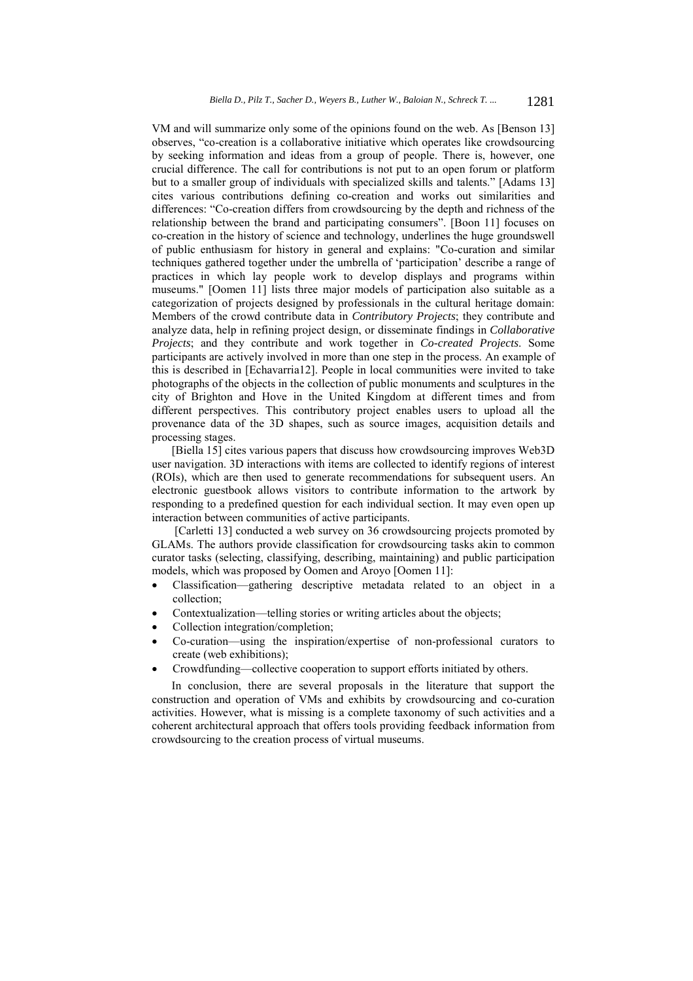VM and will summarize only some of the opinions found on the web. As [Benson 13] observes, "co-creation is a collaborative initiative which operates like crowdsourcing by seeking information and ideas from a group of people. There is, however, one crucial difference. The call for contributions is not put to an open forum or platform but to a smaller group of individuals with specialized skills and talents." [Adams 13] cites various contributions defining co-creation and works out similarities and differences: "Co-creation differs from crowdsourcing by the depth and richness of the relationship between the brand and participating consumers". [Boon 11] focuses on co-creation in the history of science and technology, underlines the huge groundswell of public enthusiasm for history in general and explains: "Co-curation and similar techniques gathered together under the umbrella of 'participation' describe a range of practices in which lay people work to develop displays and programs within museums." [Oomen 11] lists three major models of participation also suitable as a categorization of projects designed by professionals in the cultural heritage domain: Members of the crowd contribute data in *Contributory Projects*; they contribute and analyze data, help in refining project design, or disseminate findings in *Collaborative Projects*; and they contribute and work together in *Co-created Projects*. Some participants are actively involved in more than one step in the process. An example of this is described in [Echavarria12]. People in local communities were invited to take photographs of the objects in the collection of public monuments and sculptures in the city of Brighton and Hove in the United Kingdom at different times and from different perspectives. This contributory project enables users to upload all the provenance data of the 3D shapes, such as source images, acquisition details and processing stages.

[Biella 15] cites various papers that discuss how crowdsourcing improves Web3D user navigation. 3D interactions with items are collected to identify regions of interest (ROIs), which are then used to generate recommendations for subsequent users. An electronic guestbook allows visitors to contribute information to the artwork by responding to a predefined question for each individual section. It may even open up interaction between communities of active participants.

[Carletti 13] conducted a web survey on 36 crowdsourcing projects promoted by GLAMs. The authors provide classification for crowdsourcing tasks akin to common curator tasks (selecting, classifying, describing, maintaining) and public participation models, which was proposed by Oomen and Aroyo [Oomen 11]:

- Classification—gathering descriptive metadata related to an object in a collection;
- Contextualization—telling stories or writing articles about the objects;
- Collection integration/completion;
- Co-curation—using the inspiration/expertise of non-professional curators to create (web exhibitions);
- Crowdfunding—collective cooperation to support efforts initiated by others.

In conclusion, there are several proposals in the literature that support the construction and operation of VMs and exhibits by crowdsourcing and co-curation activities. However, what is missing is a complete taxonomy of such activities and a coherent architectural approach that offers tools providing feedback information from crowdsourcing to the creation process of virtual museums.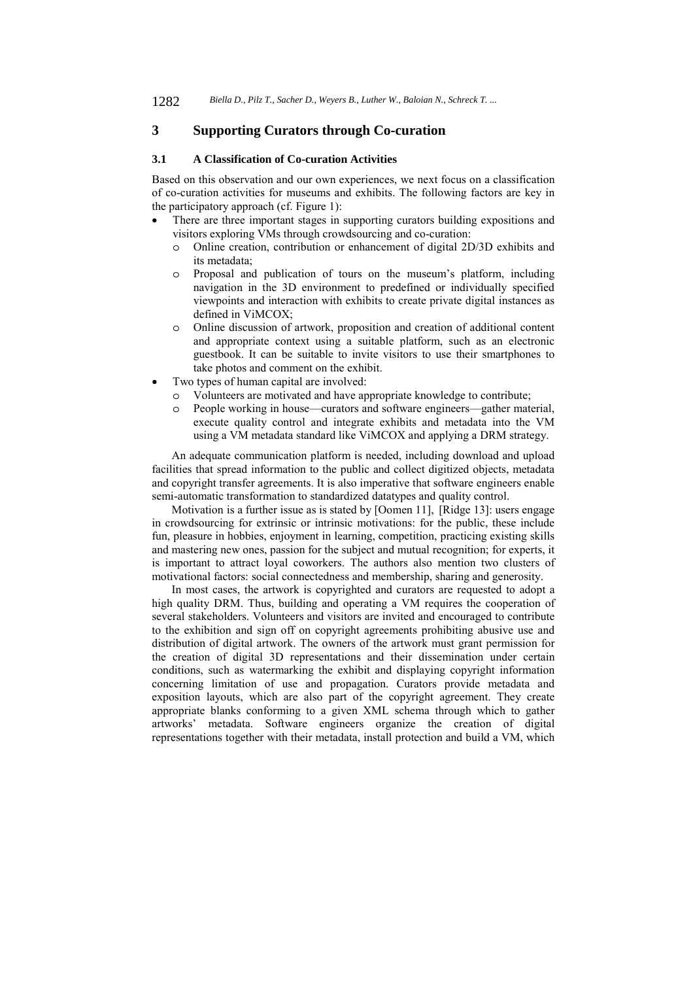## **3 Supporting Curators through Co-curation**

#### **3.1 A Classification of Co-curation Activities**

Based on this observation and our own experiences, we next focus on a classification of co-curation activities for museums and exhibits. The following factors are key in the participatory approach (cf. Figure 1):

- There are three important stages in supporting curators building expositions and visitors exploring VMs through crowdsourcing and co-curation:
	- o Online creation, contribution or enhancement of digital 2D/3D exhibits and its metadata;
	- o Proposal and publication of tours on the museum's platform, including navigation in the 3D environment to predefined or individually specified viewpoints and interaction with exhibits to create private digital instances as defined in ViMCOX;
	- o Online discussion of artwork, proposition and creation of additional content and appropriate context using a suitable platform, such as an electronic guestbook. It can be suitable to invite visitors to use their smartphones to take photos and comment on the exhibit.
- Two types of human capital are involved:
	- o Volunteers are motivated and have appropriate knowledge to contribute;
	- o People working in house—curators and software engineers—gather material, execute quality control and integrate exhibits and metadata into the VM using a VM metadata standard like ViMCOX and applying a DRM strategy.

An adequate communication platform is needed, including download and upload facilities that spread information to the public and collect digitized objects, metadata and copyright transfer agreements. It is also imperative that software engineers enable semi-automatic transformation to standardized datatypes and quality control.

Motivation is a further issue as is stated by [Oomen 11], [Ridge 13]: users engage in crowdsourcing for extrinsic or intrinsic motivations: for the public, these include fun, pleasure in hobbies, enjoyment in learning, competition, practicing existing skills and mastering new ones, passion for the subject and mutual recognition; for experts, it is important to attract loyal coworkers. The authors also mention two clusters of motivational factors: social connectedness and membership, sharing and generosity.

In most cases, the artwork is copyrighted and curators are requested to adopt a high quality DRM. Thus, building and operating a VM requires the cooperation of several stakeholders. Volunteers and visitors are invited and encouraged to contribute to the exhibition and sign off on copyright agreements prohibiting abusive use and distribution of digital artwork. The owners of the artwork must grant permission for the creation of digital 3D representations and their dissemination under certain conditions, such as watermarking the exhibit and displaying copyright information concerning limitation of use and propagation. Curators provide metadata and exposition layouts, which are also part of the copyright agreement. They create appropriate blanks conforming to a given XML schema through which to gather artworks' metadata. Software engineers organize the creation of digital representations together with their metadata, install protection and build a VM, which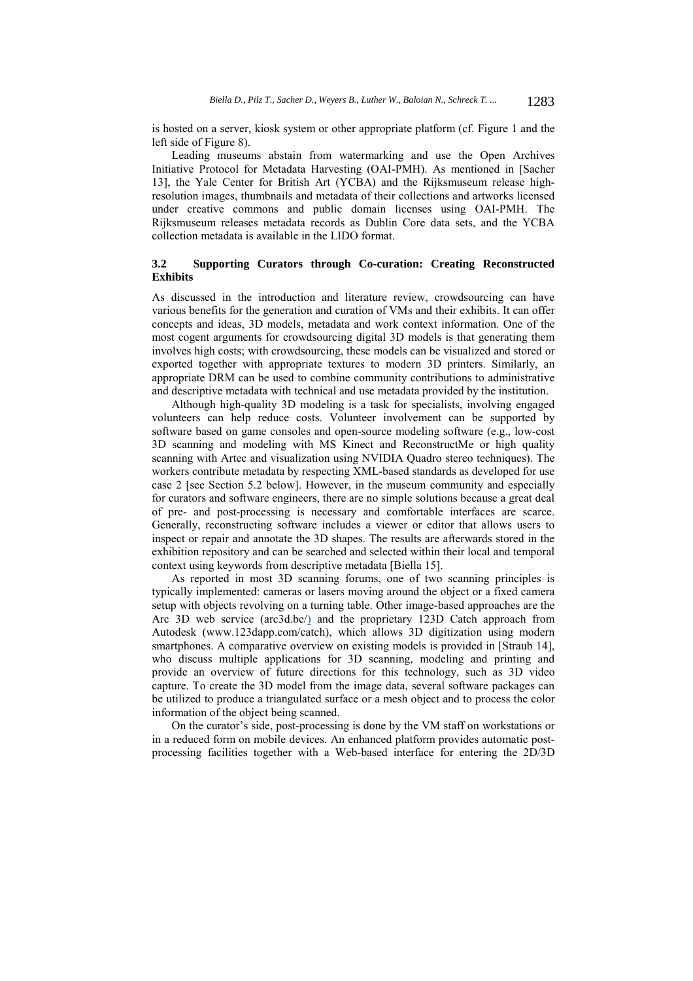is hosted on a server, kiosk system or other appropriate platform (cf. Figure 1 and the left side of Figure 8).

Leading museums abstain from watermarking and use the Open Archives Initiative Protocol for Metadata Harvesting (OAI-PMH). As mentioned in [Sacher 13], the Yale Center for British Art (YCBA) and the Rijksmuseum release highresolution images, thumbnails and metadata of their collections and artworks licensed under creative commons and public domain licenses using OAI-PMH. The Rijksmuseum releases metadata records as Dublin Core data sets, and the YCBA collection metadata is available in the LIDO format.

### **3.2 Supporting Curators through Co-curation: Creating Reconstructed Exhibits**

As discussed in the introduction and literature review, crowdsourcing can have various benefits for the generation and curation of VMs and their exhibits. It can offer concepts and ideas, 3D models, metadata and work context information. One of the most cogent arguments for crowdsourcing digital 3D models is that generating them involves high costs; with crowdsourcing, these models can be visualized and stored or exported together with appropriate textures to modern 3D printers. Similarly, an appropriate DRM can be used to combine community contributions to administrative and descriptive metadata with technical and use metadata provided by the institution.

Although high-quality 3D modeling is a task for specialists, involving engaged volunteers can help reduce costs. Volunteer involvement can be supported by software based on game consoles and open-source modeling software (e.g., low-cost 3D scanning and modeling with MS Kinect and ReconstructMe or high quality scanning with Artec and visualization using NVIDIA Quadro stereo techniques). The workers contribute metadata by respecting XML-based standards as developed for use case 2 [see Section 5.2 below]. However, in the museum community and especially for curators and software engineers, there are no simple solutions because a great deal of pre- and post-processing is necessary and comfortable interfaces are scarce. Generally, reconstructing software includes a viewer or editor that allows users to inspect or repair and annotate the 3D shapes. The results are afterwards stored in the exhibition repository and can be searched and selected within their local and temporal context using keywords from descriptive metadata [Biella 15].

As reported in most 3D scanning forums, one of two scanning principles is typically implemented: cameras or lasers moving around the object or a fixed camera setup with objects revolving on a turning table. Other image-based approaches are the Arc 3D web service (arc3d.be/) and the proprietary 123D Catch approach from Autodesk (www.123dapp.com/catch), which allows 3D digitization using modern smartphones. A comparative overview on existing models is provided in [Straub 14], who discuss multiple applications for 3D scanning, modeling and printing and provide an overview of future directions for this technology, such as 3D video capture. To create the 3D model from the image data, several software packages can be utilized to produce a triangulated surface or a mesh object and to process the color information of the object being scanned.

On the curator's side, post-processing is done by the VM staff on workstations or in a reduced form on mobile devices. An enhanced platform provides automatic postprocessing facilities together with a Web-based interface for entering the 2D/3D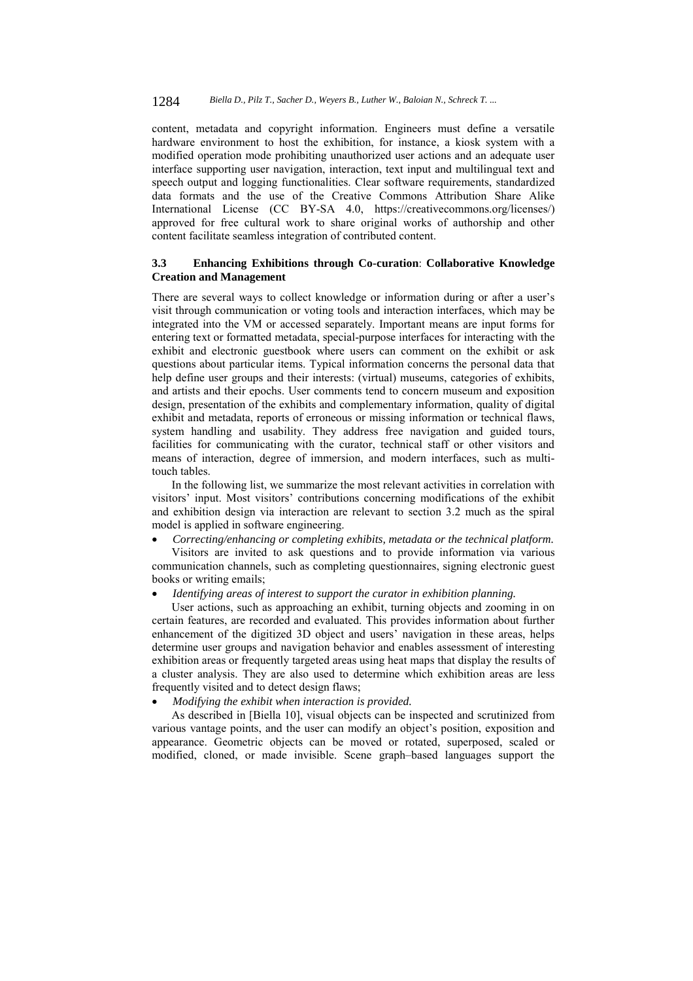content, metadata and copyright information. Engineers must define a versatile hardware environment to host the exhibition, for instance, a kiosk system with a modified operation mode prohibiting unauthorized user actions and an adequate user interface supporting user navigation, interaction, text input and multilingual text and speech output and logging functionalities. Clear software requirements, standardized data formats and the use of the Creative Commons Attribution Share Alike International License (CC BY-SA 4.0, https://creativecommons.org/licenses/) approved for free cultural work to share original works of authorship and other content facilitate seamless integration of contributed content.

### **3.3 Enhancing Exhibitions through Co-curation**: **Collaborative Knowledge Creation and Management**

There are several ways to collect knowledge or information during or after a user's visit through communication or voting tools and interaction interfaces, which may be integrated into the VM or accessed separately. Important means are input forms for entering text or formatted metadata, special-purpose interfaces for interacting with the exhibit and electronic guestbook where users can comment on the exhibit or ask questions about particular items. Typical information concerns the personal data that help define user groups and their interests: (virtual) museums, categories of exhibits, and artists and their epochs. User comments tend to concern museum and exposition design, presentation of the exhibits and complementary information, quality of digital exhibit and metadata, reports of erroneous or missing information or technical flaws, system handling and usability. They address free navigation and guided tours, facilities for communicating with the curator, technical staff or other visitors and means of interaction, degree of immersion, and modern interfaces, such as multitouch tables.

In the following list, we summarize the most relevant activities in correlation with visitors' input. Most visitors' contributions concerning modifications of the exhibit and exhibition design via interaction are relevant to section 3.2 much as the spiral model is applied in software engineering.

*Correcting/enhancing or completing exhibits, metadata or the technical platform.* 

Visitors are invited to ask questions and to provide information via various communication channels, such as completing questionnaires, signing electronic guest books or writing emails;

*Identifying areas of interest to support the curator in exhibition planning.*

User actions, such as approaching an exhibit, turning objects and zooming in on certain features, are recorded and evaluated. This provides information about further enhancement of the digitized 3D object and users' navigation in these areas, helps determine user groups and navigation behavior and enables assessment of interesting exhibition areas or frequently targeted areas using heat maps that display the results of a cluster analysis. They are also used to determine which exhibition areas are less frequently visited and to detect design flaws:

*Modifying the exhibit when interaction is provided.* 

As described in [Biella 10], visual objects can be inspected and scrutinized from various vantage points, and the user can modify an object's position, exposition and appearance. Geometric objects can be moved or rotated, superposed, scaled or modified, cloned, or made invisible. Scene graph–based languages support the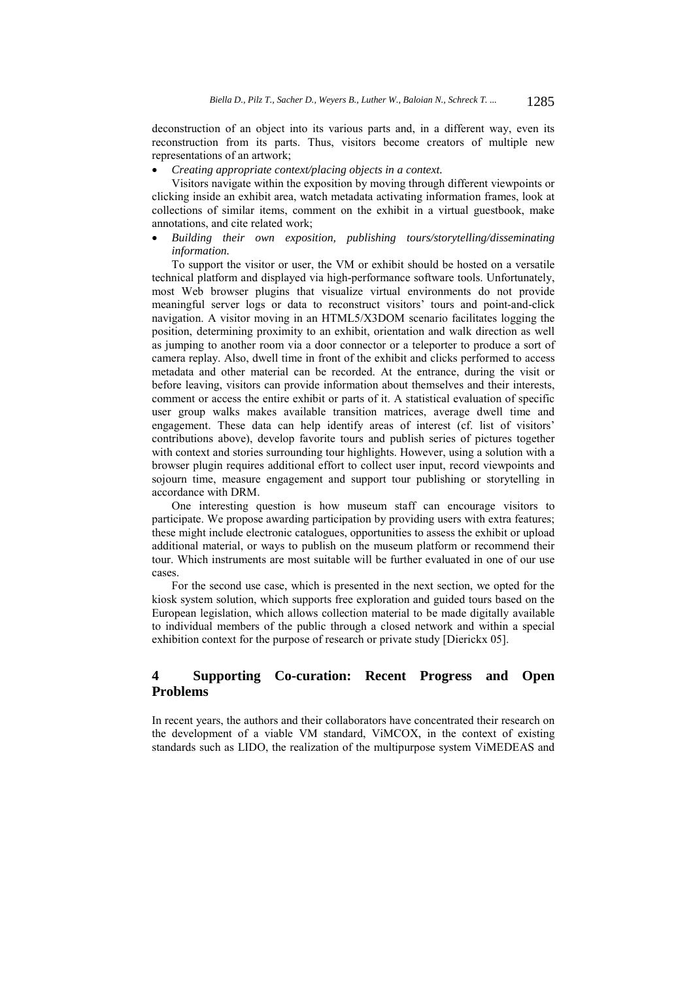deconstruction of an object into its various parts and, in a different way, even its reconstruction from its parts. Thus, visitors become creators of multiple new representations of an artwork;

*Creating appropriate context/placing objects in a context.* 

Visitors navigate within the exposition by moving through different viewpoints or clicking inside an exhibit area, watch metadata activating information frames, look at collections of similar items, comment on the exhibit in a virtual guestbook, make annotations, and cite related work;

 *Building their own exposition, publishing tours/storytelling/disseminating information.* 

To support the visitor or user, the VM or exhibit should be hosted on a versatile technical platform and displayed via high-performance software tools. Unfortunately, most Web browser plugins that visualize virtual environments do not provide meaningful server logs or data to reconstruct visitors' tours and point-and-click navigation. A visitor moving in an HTML5/X3DOM scenario facilitates logging the position, determining proximity to an exhibit, orientation and walk direction as well as jumping to another room via a door connector or a teleporter to produce a sort of camera replay. Also, dwell time in front of the exhibit and clicks performed to access metadata and other material can be recorded. At the entrance, during the visit or before leaving, visitors can provide information about themselves and their interests, comment or access the entire exhibit or parts of it. A statistical evaluation of specific user group walks makes available transition matrices, average dwell time and engagement. These data can help identify areas of interest (cf. list of visitors' contributions above), develop favorite tours and publish series of pictures together with context and stories surrounding tour highlights. However, using a solution with a browser plugin requires additional effort to collect user input, record viewpoints and sojourn time, measure engagement and support tour publishing or storytelling in accordance with DRM.

One interesting question is how museum staff can encourage visitors to participate. We propose awarding participation by providing users with extra features; these might include electronic catalogues, opportunities to assess the exhibit or upload additional material, or ways to publish on the museum platform or recommend their tour. Which instruments are most suitable will be further evaluated in one of our use cases.

For the second use case, which is presented in the next section, we opted for the kiosk system solution, which supports free exploration and guided tours based on the European legislation, which allows collection material to be made digitally available to individual members of the public through a closed network and within a special exhibition context for the purpose of research or private study [Dierickx 05].

## **4 Supporting Co-curation: Recent Progress and Open Problems**

In recent years, the authors and their collaborators have concentrated their research on the development of a viable VM standard, ViMCOX, in the context of existing standards such as LIDO, the realization of the multipurpose system ViMEDEAS and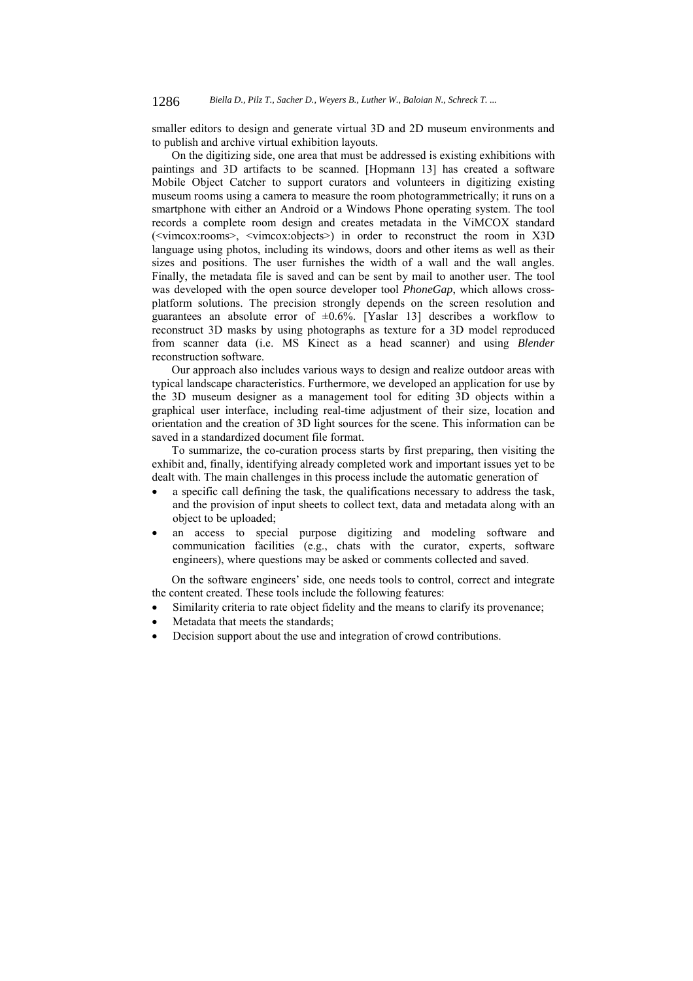smaller editors to design and generate virtual 3D and 2D museum environments and to publish and archive virtual exhibition layouts.

On the digitizing side, one area that must be addressed is existing exhibitions with paintings and 3D artifacts to be scanned. [Hopmann 13] has created a software Mobile Object Catcher to support curators and volunteers in digitizing existing museum rooms using a camera to measure the room photogrammetrically; it runs on a smartphone with either an Android or a Windows Phone operating system. The tool records a complete room design and creates metadata in the ViMCOX standard (<vimcox:rooms>, <vimcox:objects>) in order to reconstruct the room in X3D language using photos, including its windows, doors and other items as well as their sizes and positions. The user furnishes the width of a wall and the wall angles. Finally, the metadata file is saved and can be sent by mail to another user. The tool was developed with the open source developer tool *PhoneGap*, which allows crossplatform solutions. The precision strongly depends on the screen resolution and guarantees an absolute error of  $\pm 0.6\%$ . [Yaslar 13] describes a workflow to reconstruct 3D masks by using photographs as texture for a 3D model reproduced from scanner data (i.e. MS Kinect as a head scanner) and using *Blender* reconstruction software.

Our approach also includes various ways to design and realize outdoor areas with typical landscape characteristics. Furthermore, we developed an application for use by the 3D museum designer as a management tool for editing 3D objects within a graphical user interface, including real-time adjustment of their size, location and orientation and the creation of 3D light sources for the scene. This information can be saved in a standardized document file format.

To summarize, the co-curation process starts by first preparing, then visiting the exhibit and, finally, identifying already completed work and important issues yet to be dealt with. The main challenges in this process include the automatic generation of

- a specific call defining the task, the qualifications necessary to address the task, and the provision of input sheets to collect text, data and metadata along with an object to be uploaded;
- an access to special purpose digitizing and modeling software and communication facilities (e.g., chats with the curator, experts, software engineers), where questions may be asked or comments collected and saved.

On the software engineers' side, one needs tools to control, correct and integrate the content created. These tools include the following features:

- Similarity criteria to rate object fidelity and the means to clarify its provenance;
- Metadata that meets the standards;
- Decision support about the use and integration of crowd contributions.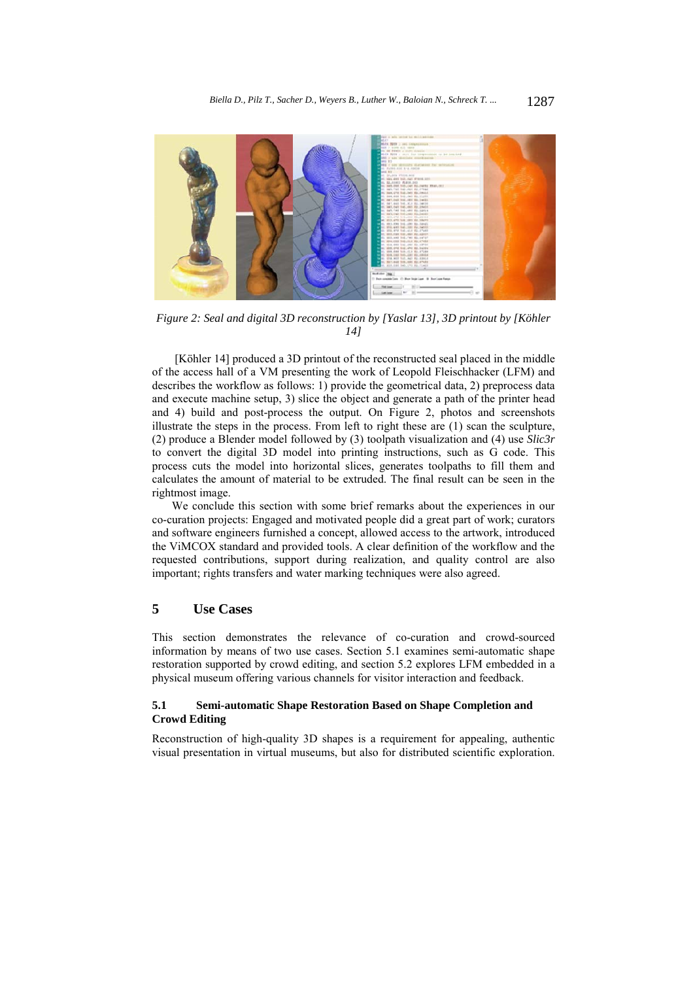

*Figure 2: Seal and digital 3D reconstruction by [Yaslar 13], 3D printout by [Köhler 14]* 

 [Köhler 14] produced a 3D printout of the reconstructed seal placed in the middle of the access hall of a VM presenting the work of Leopold Fleischhacker (LFM) and describes the workflow as follows: 1) provide the geometrical data, 2) preprocess data and execute machine setup, 3) slice the object and generate a path of the printer head and 4) build and post-process the output. On Figure 2, photos and screenshots illustrate the steps in the process. From left to right these are (1) scan the sculpture, (2) produce a Blender model followed by (3) toolpath visualization and (4) use *Slic3r* to convert the digital 3D model into printing instructions, such as G code. This process cuts the model into horizontal slices, generates toolpaths to fill them and calculates the amount of material to be extruded. The final result can be seen in the rightmost image.

We conclude this section with some brief remarks about the experiences in our co-curation projects: Engaged and motivated people did a great part of work; curators and software engineers furnished a concept, allowed access to the artwork, introduced the ViMCOX standard and provided tools. A clear definition of the workflow and the requested contributions, support during realization, and quality control are also important; rights transfers and water marking techniques were also agreed.

## **5 Use Cases**

This section demonstrates the relevance of co-curation and crowd-sourced information by means of two use cases. Section 5.1 examines semi-automatic shape restoration supported by crowd editing, and section 5.2 explores LFM embedded in a physical museum offering various channels for visitor interaction and feedback.

#### **5.1 Semi-automatic Shape Restoration Based on Shape Completion and Crowd Editing**

Reconstruction of high-quality 3D shapes is a requirement for appealing, authentic visual presentation in virtual museums, but also for distributed scientific exploration.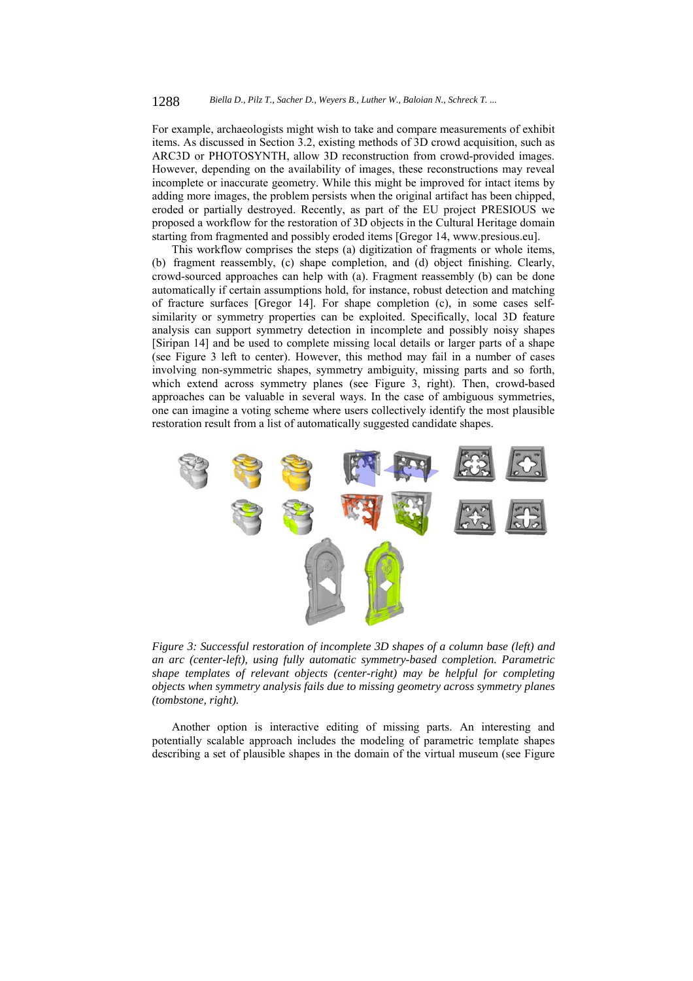For example, archaeologists might wish to take and compare measurements of exhibit items. As discussed in Section 3.2, existing methods of 3D crowd acquisition, such as ARC3D or PHOTOSYNTH, allow 3D reconstruction from crowd-provided images. However, depending on the availability of images, these reconstructions may reveal incomplete or inaccurate geometry. While this might be improved for intact items by adding more images, the problem persists when the original artifact has been chipped, eroded or partially destroyed. Recently, as part of the EU project PRESIOUS we proposed a workflow for the restoration of 3D objects in the Cultural Heritage domain starting from fragmented and possibly eroded items [Gregor 14, www.presious.eu].

This workflow comprises the steps (a) digitization of fragments or whole items, (b) fragment reassembly, (c) shape completion, and (d) object finishing. Clearly, crowd-sourced approaches can help with (a). Fragment reassembly (b) can be done automatically if certain assumptions hold, for instance, robust detection and matching of fracture surfaces [Gregor 14]. For shape completion (c), in some cases selfsimilarity or symmetry properties can be exploited. Specifically, local 3D feature analysis can support symmetry detection in incomplete and possibly noisy shapes [Siripan 14] and be used to complete missing local details or larger parts of a shape (see Figure 3 left to center). However, this method may fail in a number of cases involving non-symmetric shapes, symmetry ambiguity, missing parts and so forth, which extend across symmetry planes (see Figure 3, right). Then, crowd-based approaches can be valuable in several ways. In the case of ambiguous symmetries, one can imagine a voting scheme where users collectively identify the most plausible restoration result from a list of automatically suggested candidate shapes.



*Figure 3: Successful restoration of incomplete 3D shapes of a column base (left) and an arc (center-left), using fully automatic symmetry-based completion. Parametric shape templates of relevant objects (center-right) may be helpful for completing objects when symmetry analysis fails due to missing geometry across symmetry planes (tombstone, right).* 

Another option is interactive editing of missing parts. An interesting and potentially scalable approach includes the modeling of parametric template shapes describing a set of plausible shapes in the domain of the virtual museum (see Figure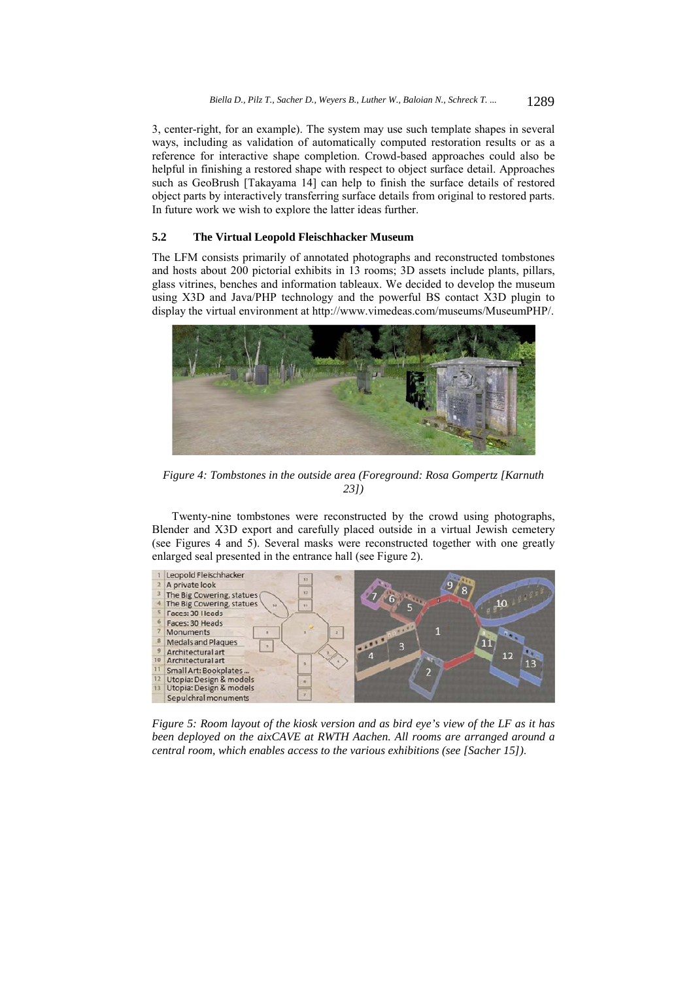3, center-right, for an example). The system may use such template shapes in several ways, including as validation of automatically computed restoration results or as a reference for interactive shape completion. Crowd-based approaches could also be helpful in finishing a restored shape with respect to object surface detail. Approaches such as GeoBrush [Takayama 14] can help to finish the surface details of restored object parts by interactively transferring surface details from original to restored parts. In future work we wish to explore the latter ideas further.

### **5.2 The Virtual Leopold Fleischhacker Museum**

The LFM consists primarily of annotated photographs and reconstructed tombstones and hosts about 200 pictorial exhibits in 13 rooms; 3D assets include plants, pillars, glass vitrines, benches and information tableaux. We decided to develop the museum using X3D and Java/PHP technology and the powerful BS contact X3D plugin to display the virtual environment at http://www.vimedeas.com/museums/MuseumPHP/.



*Figure 4: Tombstones in the outside area (Foreground: Rosa Gompertz [Karnuth 23])*

Twenty-nine tombstones were reconstructed by the crowd using photographs, Blender and X3D export and carefully placed outside in a virtual Jewish cemetery (see Figures 4 and 5). Several masks were reconstructed together with one greatly enlarged seal presented in the entrance hall (see Figure 2).



*Figure 5: Room layout of the kiosk version and as bird eye's view of the LF as it has been deployed on the aixCAVE at RWTH Aachen. All rooms are arranged around a central room, which enables access to the various exhibitions (see [Sacher 15])*.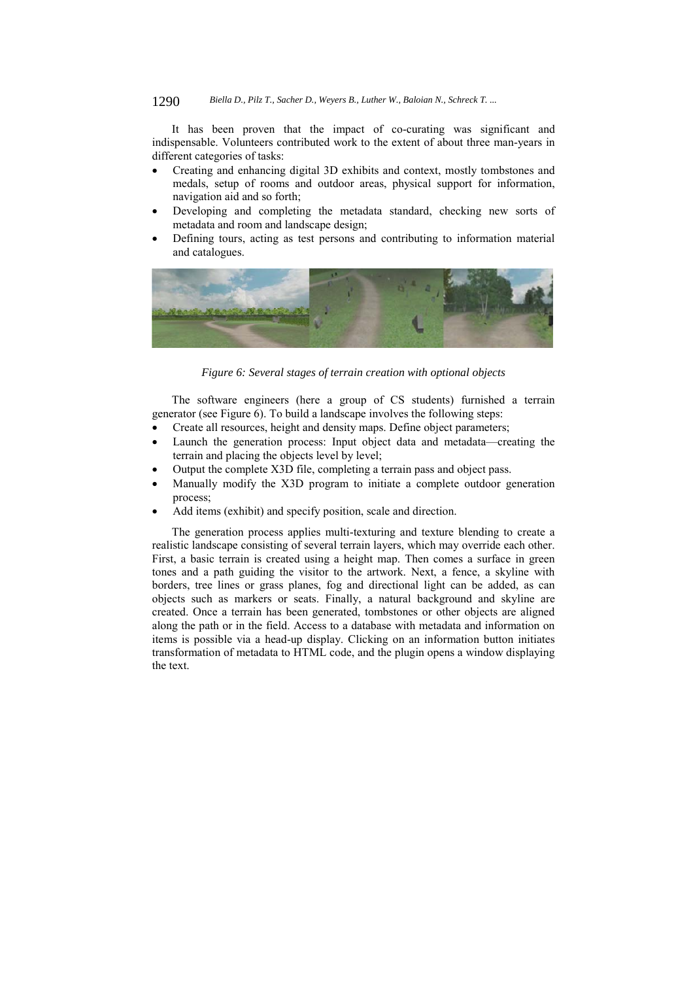It has been proven that the impact of co-curating was significant and indispensable. Volunteers contributed work to the extent of about three man-years in different categories of tasks:

- Creating and enhancing digital 3D exhibits and context, mostly tombstones and medals, setup of rooms and outdoor areas, physical support for information, navigation aid and so forth;
- Developing and completing the metadata standard, checking new sorts of metadata and room and landscape design;
- Defining tours, acting as test persons and contributing to information material and catalogues.



*Figure 6: Several stages of terrain creation with optional objects* 

The software engineers (here a group of CS students) furnished a terrain generator (see Figure 6). To build a landscape involves the following steps:

- Create all resources, height and density maps. Define object parameters;
- Launch the generation process: Input object data and metadata—creating the terrain and placing the objects level by level;
- Output the complete X3D file, completing a terrain pass and object pass.
- Manually modify the X3D program to initiate a complete outdoor generation process;
- Add items (exhibit) and specify position, scale and direction.

The generation process applies multi-texturing and texture blending to create a realistic landscape consisting of several terrain layers, which may override each other. First, a basic terrain is created using a height map. Then comes a surface in green tones and a path guiding the visitor to the artwork. Next, a fence, a skyline with borders, tree lines or grass planes, fog and directional light can be added, as can objects such as markers or seats. Finally, a natural background and skyline are created. Once a terrain has been generated, tombstones or other objects are aligned along the path or in the field. Access to a database with metadata and information on items is possible via a head-up display. Clicking on an information button initiates transformation of metadata to HTML code, and the plugin opens a window displaying the text.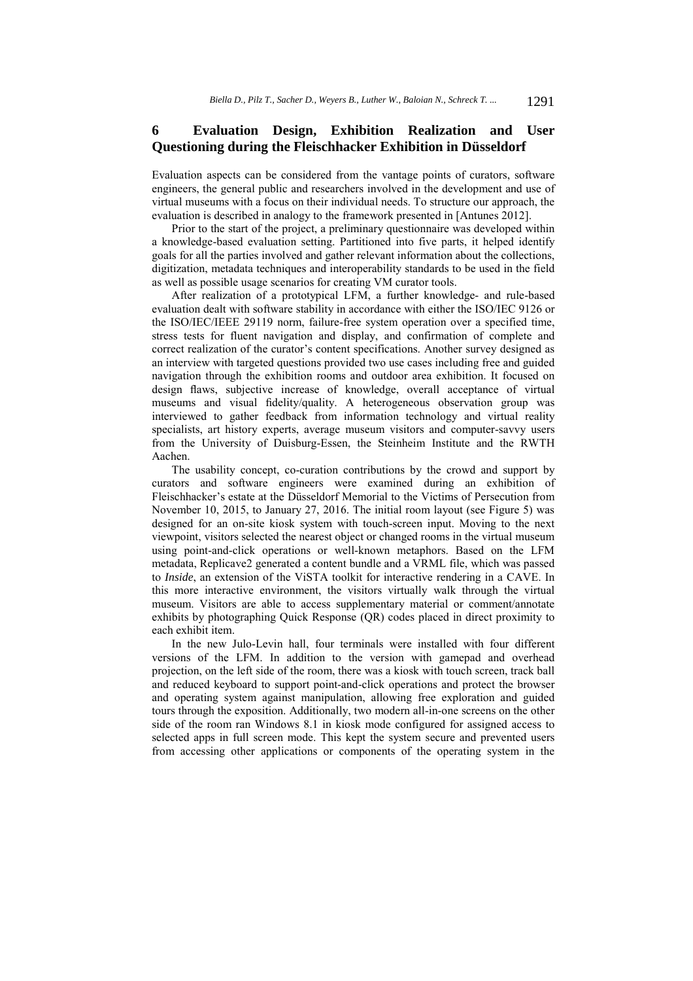### **6 Evaluation Design, Exhibition Realization and User Questioning during the Fleischhacker Exhibition in Düsseldorf**

Evaluation aspects can be considered from the vantage points of curators, software engineers, the general public and researchers involved in the development and use of virtual museums with a focus on their individual needs. To structure our approach, the evaluation is described in analogy to the framework presented in [Antunes 2012].

Prior to the start of the project, a preliminary questionnaire was developed within a knowledge-based evaluation setting. Partitioned into five parts, it helped identify goals for all the parties involved and gather relevant information about the collections, digitization, metadata techniques and interoperability standards to be used in the field as well as possible usage scenarios for creating VM curator tools.

After realization of a prototypical LFM, a further knowledge- and rule-based evaluation dealt with software stability in accordance with either the ISO/IEC 9126 or the ISO/IEC/IEEE 29119 norm, failure-free system operation over a specified time, stress tests for fluent navigation and display, and confirmation of complete and correct realization of the curator's content specifications. Another survey designed as an interview with targeted questions provided two use cases including free and guided navigation through the exhibition rooms and outdoor area exhibition. It focused on design flaws, subjective increase of knowledge, overall acceptance of virtual museums and visual fidelity/quality. A heterogeneous observation group was interviewed to gather feedback from information technology and virtual reality specialists, art history experts, average museum visitors and computer-savvy users from the University of Duisburg-Essen, the Steinheim Institute and the RWTH Aachen.

The usability concept, co-curation contributions by the crowd and support by curators and software engineers were examined during an exhibition of Fleischhacker's estate at the Düsseldorf Memorial to the Victims of Persecution from November 10, 2015, to January 27, 2016. The initial room layout (see Figure 5) was designed for an on-site kiosk system with touch-screen input. Moving to the next viewpoint, visitors selected the nearest object or changed rooms in the virtual museum using point-and-click operations or well-known metaphors. Based on the LFM metadata, Replicave2 generated a content bundle and a VRML file, which was passed to *Inside*, an extension of the ViSTA toolkit for interactive rendering in a CAVE. In this more interactive environment, the visitors virtually walk through the virtual museum. Visitors are able to access supplementary material or comment/annotate exhibits by photographing Quick Response (QR) codes placed in direct proximity to each exhibit item.

In the new Julo-Levin hall, four terminals were installed with four different versions of the LFM. In addition to the version with gamepad and overhead projection, on the left side of the room, there was a kiosk with touch screen, track ball and reduced keyboard to support point-and-click operations and protect the browser and operating system against manipulation, allowing free exploration and guided tours through the exposition. Additionally, two modern all-in-one screens on the other side of the room ran Windows 8.1 in kiosk mode configured for assigned access to selected apps in full screen mode. This kept the system secure and prevented users from accessing other applications or components of the operating system in the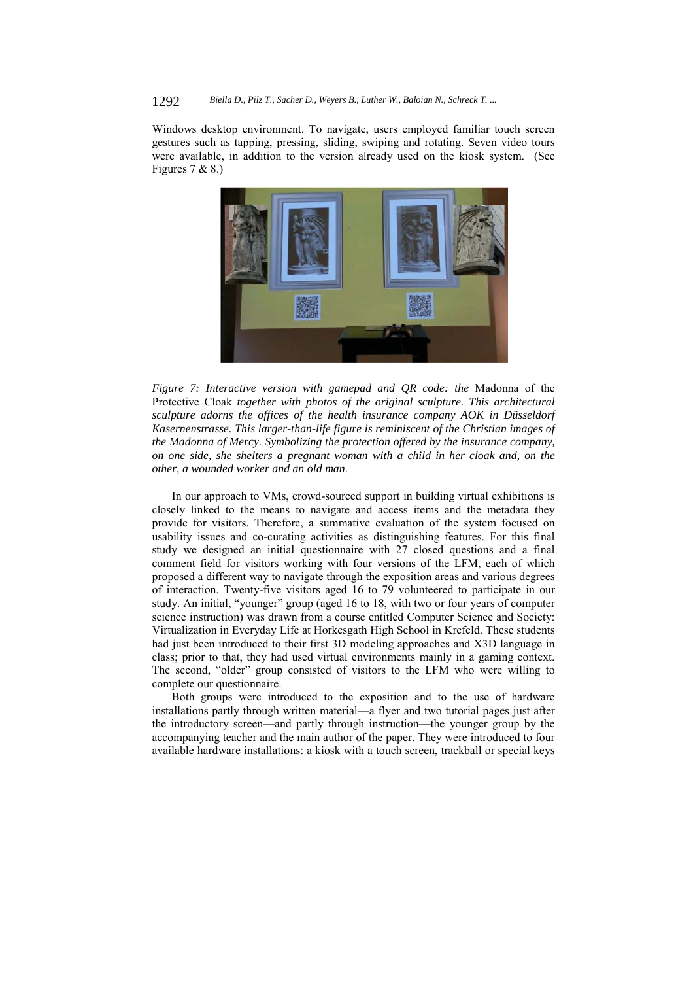Windows desktop environment. To navigate, users employed familiar touch screen gestures such as tapping, pressing, sliding, swiping and rotating. Seven video tours were available, in addition to the version already used on the kiosk system. (See Figures  $7 & 8.$ )



*Figure 7: Interactive version with gamepad and QR code: the Madonna of the* Protective Cloak *together with photos of the original sculpture. This architectural sculpture adorns the offices of the health insurance company AOK in Düsseldorf Kasernenstrasse. This larger-than-life figure is reminiscent of the Christian images of the Madonna of Mercy. Symbolizing the protection offered by the insurance company, on one side, she shelters a pregnant woman with a child in her cloak and, on the other, a wounded worker and an old man*.

In our approach to VMs, crowd-sourced support in building virtual exhibitions is closely linked to the means to navigate and access items and the metadata they provide for visitors. Therefore, a summative evaluation of the system focused on usability issues and co-curating activities as distinguishing features. For this final study we designed an initial questionnaire with 27 closed questions and a final comment field for visitors working with four versions of the LFM, each of which proposed a different way to navigate through the exposition areas and various degrees of interaction. Twenty-five visitors aged 16 to 79 volunteered to participate in our study. An initial, "younger" group (aged 16 to 18, with two or four years of computer science instruction) was drawn from a course entitled Computer Science and Society: Virtualization in Everyday Life at Horkesgath High School in Krefeld. These students had just been introduced to their first 3D modeling approaches and X3D language in class; prior to that, they had used virtual environments mainly in a gaming context. The second, "older" group consisted of visitors to the LFM who were willing to complete our questionnaire.

Both groups were introduced to the exposition and to the use of hardware installations partly through written material—a flyer and two tutorial pages just after the introductory screen—and partly through instruction—the younger group by the accompanying teacher and the main author of the paper. They were introduced to four available hardware installations: a kiosk with a touch screen, trackball or special keys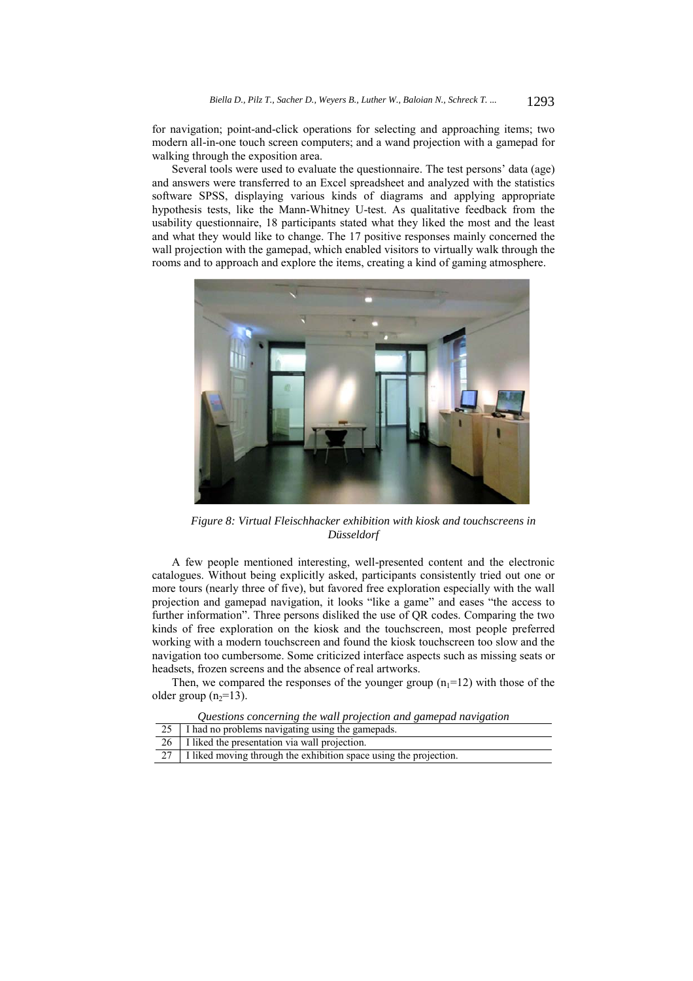for navigation; point-and-click operations for selecting and approaching items; two modern all-in-one touch screen computers; and a wand projection with a gamepad for walking through the exposition area.

Several tools were used to evaluate the questionnaire. The test persons' data (age) and answers were transferred to an Excel spreadsheet and analyzed with the statistics software SPSS, displaying various kinds of diagrams and applying appropriate hypothesis tests, like the Mann-Whitney U-test. As qualitative feedback from the usability questionnaire, 18 participants stated what they liked the most and the least and what they would like to change. The 17 positive responses mainly concerned the wall projection with the gamepad, which enabled visitors to virtually walk through the rooms and to approach and explore the items, creating a kind of gaming atmosphere.



*Figure 8: Virtual Fleischhacker exhibition with kiosk and touchscreens in Düsseldorf*

A few people mentioned interesting, well-presented content and the electronic catalogues. Without being explicitly asked, participants consistently tried out one or more tours (nearly three of five), but favored free exploration especially with the wall projection and gamepad navigation, it looks "like a game" and eases "the access to further information". Three persons disliked the use of QR codes. Comparing the two kinds of free exploration on the kiosk and the touchscreen, most people preferred working with a modern touchscreen and found the kiosk touchscreen too slow and the navigation too cumbersome. Some criticized interface aspects such as missing seats or headsets, frozen screens and the absence of real artworks.

Then, we compared the responses of the younger group  $(n_1=12)$  with those of the older group  $(n_2=13)$ .

|    | Questions concerning the wall projection and gamepad navigation   |
|----|-------------------------------------------------------------------|
|    | I had no problems navigating using the gamepads.                  |
| 26 | I liked the presentation via wall projection.                     |
|    | I liked moving through the exhibition space using the projection. |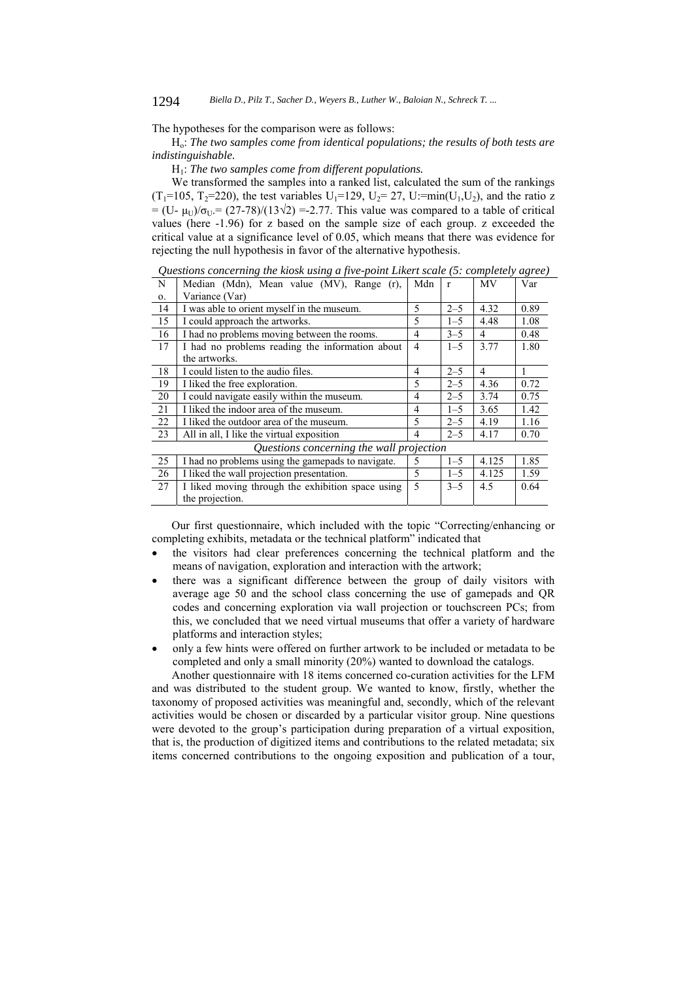The hypotheses for the comparison were as follows:

Ho: *The two samples come from identical populations; the results of both tests are indistinguishable.* 

H1: *The two samples come from different populations.*

We transformed the samples into a ranked list, calculated the sum of the rankings  $(T_1=105, T_2=220)$ , the test variables  $U_1=129, U_2=27, U:=min(U_1,U_2)$ , and the ratio z =  $(U - \mu_U)/\sigma_U = (27-78)/(13\sqrt{2}) = -2.77$ . This value was compared to a table of critical values (here -1.96) for z based on the sample size of each group. z exceeded the critical value at a significance level of 0.05, which means that there was evidence for rejecting the null hypothesis in favor of the alternative hypothesis.

| $\overline{\phantom{a}}$                 |                                                   |                |         |                | $\cdot$ |  |
|------------------------------------------|---------------------------------------------------|----------------|---------|----------------|---------|--|
| N                                        | Median (Mdn), Mean value (MV), Range (r),         | Mdn            | r       | MV             | Var     |  |
| 0.                                       | Variance (Var)                                    |                |         |                |         |  |
| 14                                       | I was able to orient myself in the museum.        | 5              | $2 - 5$ | 4.32           | 0.89    |  |
| 15                                       | I could approach the artworks.                    | 5              | $1 - 5$ | 4.48           | 1.08    |  |
| 16                                       | I had no problems moving between the rooms.       | 4              | $3 - 5$ | 4              | 0.48    |  |
| 17                                       | I had no problems reading the information about   | 4              | $1 - 5$ | 3.77           | 1.80    |  |
|                                          | the artworks.                                     |                |         |                |         |  |
| 18                                       | I could listen to the audio files.                | $\overline{4}$ | $2 - 5$ | $\overline{4}$ | 1       |  |
| 19                                       | I liked the free exploration.                     | 5              | $2 - 5$ | 4.36           | 0.72    |  |
| 20                                       | I could navigate easily within the museum.        | 4              | $2 - 5$ | 3.74           | 0.75    |  |
| 21                                       | I liked the indoor area of the museum.            | 4              | $1 - 5$ | 3.65           | 1.42    |  |
| 22                                       | I liked the outdoor area of the museum.           | 5              | $2 - 5$ | 4.19           | 1.16    |  |
| 23                                       | All in all, I like the virtual exposition         | 4              | $2 - 5$ | 4.17           | 0.70    |  |
| Questions concerning the wall projection |                                                   |                |         |                |         |  |
| 25                                       | I had no problems using the gamepads to navigate. | 5              | $1 - 5$ | 4.125          | 1.85    |  |
| 26                                       | I liked the wall projection presentation.         | 5              | $1 - 5$ | 4.125          | 1.59    |  |
| 27                                       | I liked moving through the exhibition space using | 5              | $3 - 5$ | 4.5            | 0.64    |  |
|                                          | the projection.                                   |                |         |                |         |  |
|                                          |                                                   |                |         |                |         |  |

*Questions concerning the kiosk using a five-point Likert scale (5: completely agree)* 

Our first questionnaire, which included with the topic "Correcting/enhancing or completing exhibits, metadata or the technical platform" indicated that

- the visitors had clear preferences concerning the technical platform and the means of navigation, exploration and interaction with the artwork;
- there was a significant difference between the group of daily visitors with average age 50 and the school class concerning the use of gamepads and QR codes and concerning exploration via wall projection or touchscreen PCs; from this, we concluded that we need virtual museums that offer a variety of hardware platforms and interaction styles;
- only a few hints were offered on further artwork to be included or metadata to be completed and only a small minority (20%) wanted to download the catalogs.

Another questionnaire with 18 items concerned co-curation activities for the LFM and was distributed to the student group. We wanted to know, firstly, whether the taxonomy of proposed activities was meaningful and, secondly, which of the relevant activities would be chosen or discarded by a particular visitor group. Nine questions were devoted to the group's participation during preparation of a virtual exposition, that is, the production of digitized items and contributions to the related metadata; six items concerned contributions to the ongoing exposition and publication of a tour,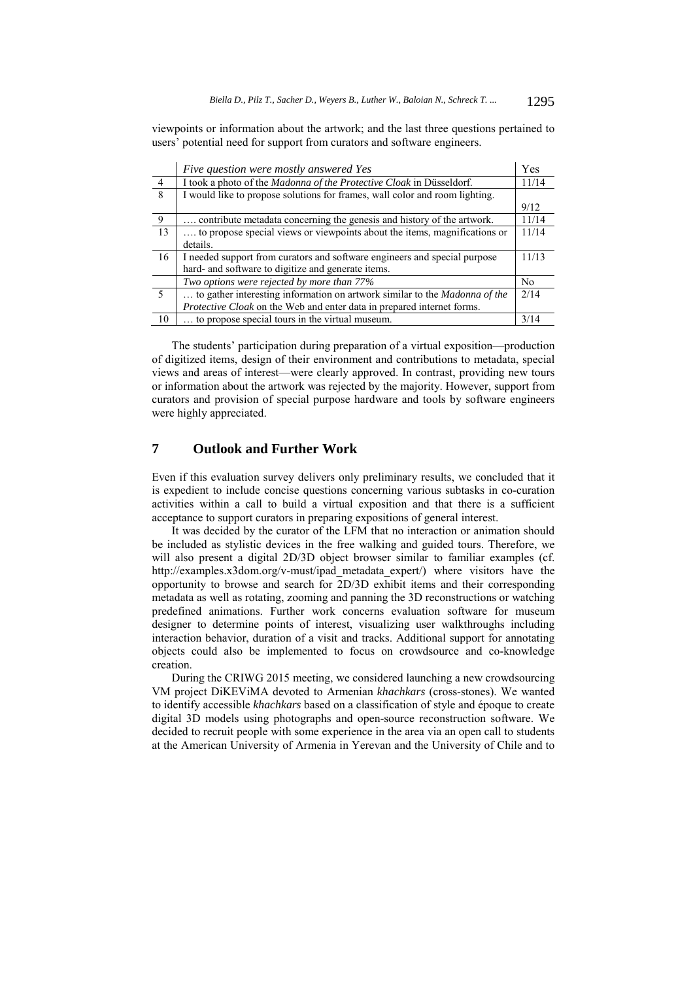viewpoints or information about the artwork; and the last three questions pertained to users' potential need for support from curators and software engineers.

|                | Five question were mostly answered Yes                                        | Yes            |
|----------------|-------------------------------------------------------------------------------|----------------|
| $\overline{4}$ | I took a photo of the Madonna of the Protective Cloak in Düsseldorf.          | 11/14          |
| $\mathbf{8}$   | I would like to propose solutions for frames, wall color and room lighting.   |                |
|                |                                                                               | 9/12           |
| 9              | contribute metadata concerning the genesis and history of the artwork.        | 11/14          |
| 13             | to propose special views or viewpoints about the items, magnifications or     | 11/14          |
|                | details.                                                                      |                |
| 16             | I needed support from curators and software engineers and special purpose     | 11/13          |
|                | hard- and software to digitize and generate items.                            |                |
|                | Two options were rejected by more than 77%                                    | N <sub>0</sub> |
| -5             | to gather interesting information on artwork similar to the Madonna of the    | 2/14           |
|                | <i>Protective Cloak</i> on the Web and enter data in prepared internet forms. |                |
| 10             | to propose special tours in the virtual museum.                               | 3/14           |

The students' participation during preparation of a virtual exposition—production of digitized items, design of their environment and contributions to metadata, special views and areas of interest—were clearly approved. In contrast, providing new tours or information about the artwork was rejected by the majority. However, support from curators and provision of special purpose hardware and tools by software engineers were highly appreciated.

## **7 Outlook and Further Work**

Even if this evaluation survey delivers only preliminary results, we concluded that it is expedient to include concise questions concerning various subtasks in co-curation activities within a call to build a virtual exposition and that there is a sufficient acceptance to support curators in preparing expositions of general interest.

It was decided by the curator of the LFM that no interaction or animation should be included as stylistic devices in the free walking and guided tours. Therefore, we will also present a digital 2D/3D object browser similar to familiar examples (cf. http://examples.x3dom.org/v-must/ipad\_metadata\_expert/) where visitors have the opportunity to browse and search for 2D/3D exhibit items and their corresponding metadata as well as rotating, zooming and panning the 3D reconstructions or watching predefined animations. Further work concerns evaluation software for museum designer to determine points of interest, visualizing user walkthroughs including interaction behavior, duration of a visit and tracks. Additional support for annotating objects could also be implemented to focus on crowdsource and co-knowledge creation.

During the CRIWG 2015 meeting, we considered launching a new crowdsourcing VM project DiKEViMA devoted to Armenian *khachkars* (cross-stones). We wanted to identify accessible *khachkars* based on a classification of style and époque to create digital 3D models using photographs and open-source reconstruction software. We decided to recruit people with some experience in the area via an open call to students at the American University of Armenia in Yerevan and the University of Chile and to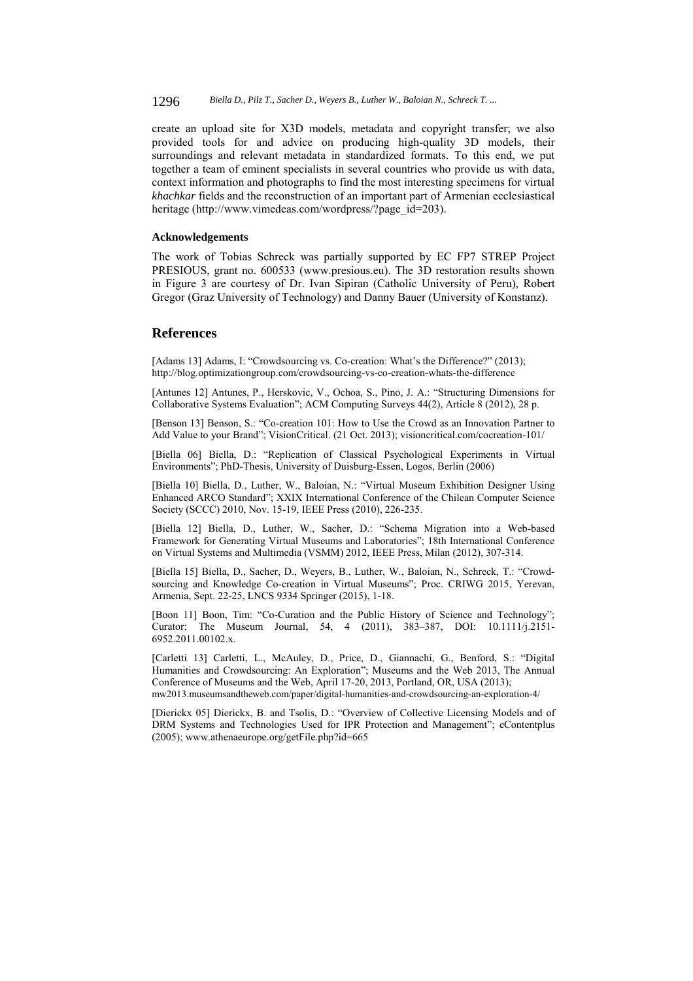1296 *Biella D., Pilz T., Sacher D., Weyers B., Luther W., Baloian N., Schreck T. ...*

create an upload site for X3D models, metadata and copyright transfer; we also provided tools for and advice on producing high-quality 3D models, their surroundings and relevant metadata in standardized formats. To this end, we put together a team of eminent specialists in several countries who provide us with data, context information and photographs to find the most interesting specimens for virtual *khachkar* fields and the reconstruction of an important part of Armenian ecclesiastical heritage (http://www.vimedeas.com/wordpress/?page\_id=203).

#### **Acknowledgements**

The work of Tobias Schreck was partially supported by EC FP7 STREP Project PRESIOUS, grant no. 600533 (www.presious.eu). The 3D restoration results shown in Figure 3 are courtesy of Dr. Ivan Sipiran (Catholic University of Peru), Robert Gregor (Graz University of Technology) and Danny Bauer (University of Konstanz).

#### **References**

[Adams 13] Adams, I: "Crowdsourcing vs. Co-creation: What's the Difference?" (2013); http://blog.optimizationgroup.com/crowdsourcing-vs-co-creation-whats-the-difference

[Antunes 12] Antunes, P., Herskovic, V., Ochoa, S., Pino, J. A.: "Structuring Dimensions for Collaborative Systems Evaluation"; ACM Computing Surveys 44(2), Article 8 (2012), 28 p.

[Benson 13] Benson, S.: "Co-creation 101: How to Use the Crowd as an Innovation Partner to Add Value to your Brand"; VisionCritical. (21 Oct. 2013); visioncritical.com/cocreation-101/

[Biella 06] Biella, D.: "Replication of Classical Psychological Experiments in Virtual Environments"; PhD-Thesis, University of Duisburg-Essen, Logos, Berlin (2006)

[Biella 10] Biella, D., Luther, W., Baloian, N.: "Virtual Museum Exhibition Designer Using Enhanced ARCO Standard"; XXIX International Conference of the Chilean Computer Science Society (SCCC) 2010, Nov. 15-19, IEEE Press (2010), 226-235.

[Biella 12] Biella, D., Luther, W., Sacher, D.: "Schema Migration into a Web-based Framework for Generating Virtual Museums and Laboratories"; 18th International Conference on Virtual Systems and Multimedia (VSMM) 2012, IEEE Press, Milan (2012), 307-314.

[Biella 15] Biella, D., Sacher, D., Weyers, B., Luther, W., Baloian, N., Schreck, T.: "Crowdsourcing and Knowledge Co-creation in Virtual Museums"; Proc. CRIWG 2015, Yerevan, Armenia, Sept. 22-25, LNCS 9334 Springer (2015), 1-18.

[Boon 11] Boon, Tim: "Co-Curation and the Public History of Science and Technology"; Curator: The Museum Journal, 54, 4 (2011), 383–387, DOI: 10.1111/j.2151- 6952.2011.00102.x.

[Carletti 13] Carletti, L., McAuley, D., Price, D., Giannachi, G., Benford, S.: "Digital Humanities and Crowdsourcing: An Exploration"; Museums and the Web 2013, The Annual Conference of Museums and the Web, April 17-20, 2013, Portland, OR, USA (2013); mw2013.museumsandtheweb.com/paper/digital-humanities-and-crowdsourcing-an-exploration-4/

[Dierickx 05] Dierickx, B. and Tsolis, D.: "Overview of Collective Licensing Models and of DRM Systems and Technologies Used for IPR Protection and Management"; eContentplus (2005); www.athenaeurope.org/getFile.php?id=665